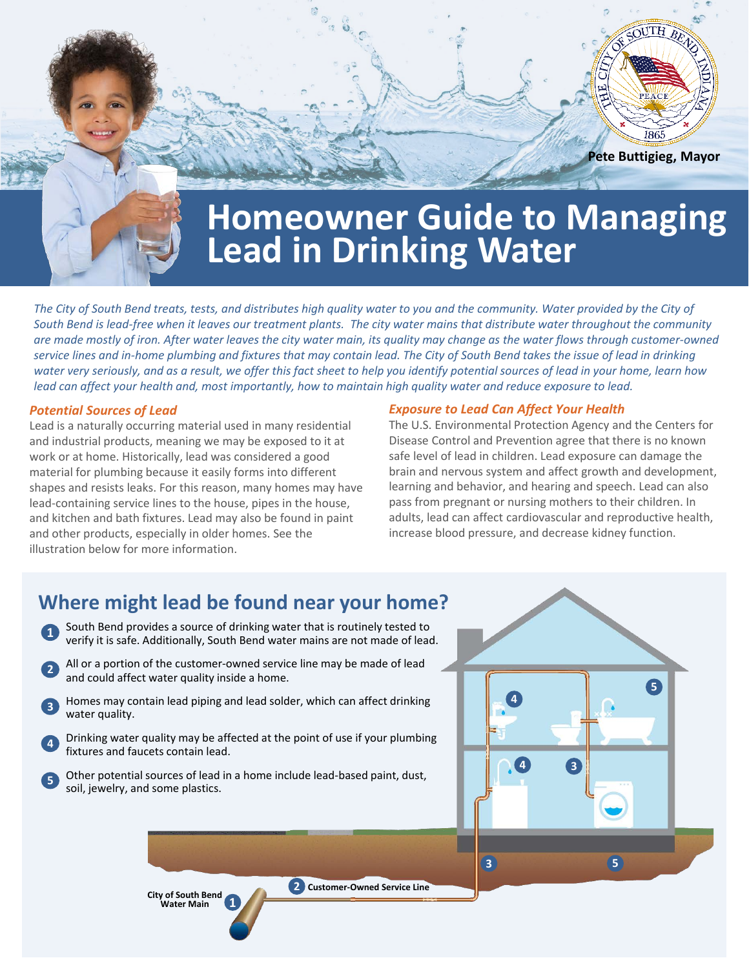

**Homeowner Guide to Managing Lead in Drinking Water**

*The City of South Bend treats, tests, and distributes high quality water to you and the community. Water provided by the City of South Bend is lead-free when it leaves our treatment plants. The city water mains that distribute water throughout the community are made mostly of iron. After water leaves the city water main, its quality may change as the water flows through customer-owned service lines and in-home plumbing and fixtures that may contain lead. The City of South Bend takes the issue of lead in drinking water very seriously, and as a result, we offer this fact sheet to help you identify potential sources of lead in your home, learn how lead can affect your health and, most importantly, how to maintain high quality water and reduce exposure to lead.* 

#### *Potential Sources of Lead*

Lead is a naturally occurring material used in many residential and industrial products, meaning we may be exposed to it at work or at home. Historically, lead was considered a good material for plumbing because it easily forms into different shapes and resists leaks. For this reason, many homes may have lead-containing service lines to the house, pipes in the house, and kitchen and bath fixtures. Lead may also be found in paint and other products, especially in older homes. See the illustration below for more information.

#### *Exposure to Lead Can Affect Your Health*

The U.S. Environmental Protection Agency and the Centers for Disease Control and Prevention agree that there is no known safe level of lead in children. Lead exposure can damage the brain and nervous system and affect growth and development, learning and behavior, and hearing and speech. Lead can also pass from pregnant or nursing mothers to their children. In adults, lead can affect cardiovascular and reproductive health, increase blood pressure, and decrease kidney function.

### **Where might lead be found near your home?**

- **1** South Bend provides a source of drinking water that is routinely tested to verify it is safe. Additionally, South Bend water mains are not made of lead.
	- **<sup>2</sup>** All or a portion of the customer-owned service line may be made of lead and could affect water quality inside a home.
- **<sup>3</sup>** Homes may contain lead piping and lead solder, which can affect drinking water quality.
- **<sup>4</sup>** Drinking water quality may be affected at the point of use if your plumbing fixtures and faucets contain lead.
- **<sup>5</sup>** Other potential sources of lead in a home include lead-based paint, dust, soil, jewelry, and some plastics.



**1 City of South Bend Water Main**

**2 Customer-Owned Service Line**